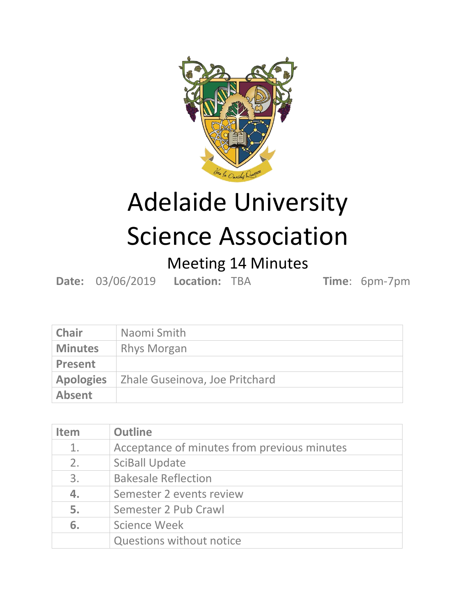

## Adelaide University Science Association

## Meeting 14 Minutes

**Date:** 03/06/2019 **Location:** TBA **Time**: 6pm-7pm

| <b>Chair</b>     | Naomi Smith                    |
|------------------|--------------------------------|
| <b>Minutes</b>   | <b>Rhys Morgan</b>             |
| <b>Present</b>   |                                |
| <b>Apologies</b> | Zhale Guseinova, Joe Pritchard |
| <b>Absent</b>    |                                |

| <b>Item</b> | <b>Outline</b>                              |
|-------------|---------------------------------------------|
| 1.          | Acceptance of minutes from previous minutes |
| 2.          | <b>SciBall Update</b>                       |
| 3.          | <b>Bakesale Reflection</b>                  |
| 4.          | Semester 2 events review                    |
| 5.          | Semester 2 Pub Crawl                        |
| 6.          | Science Week                                |
|             | <b>Questions without notice</b>             |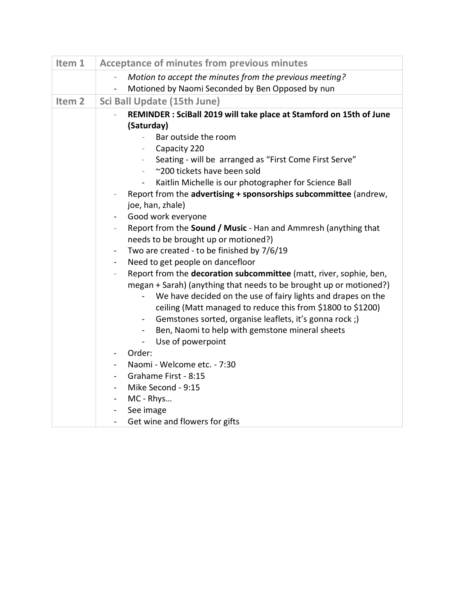| Item 1            | <b>Acceptance of minutes from previous minutes</b>                                                                                       |
|-------------------|------------------------------------------------------------------------------------------------------------------------------------------|
|                   | Motion to accept the minutes from the previous meeting?<br>$\overline{\phantom{a}}$                                                      |
|                   | Motioned by Naomi Seconded by Ben Opposed by nun                                                                                         |
| Item <sub>2</sub> | <b>Sci Ball Update (15th June)</b>                                                                                                       |
|                   | REMINDER: SciBall 2019 will take place at Stamford on 15th of June                                                                       |
|                   | (Saturday)                                                                                                                               |
|                   | Bar outside the room                                                                                                                     |
|                   | Capacity 220                                                                                                                             |
|                   | Seating - will be arranged as "First Come First Serve"                                                                                   |
|                   | ~200 tickets have been sold<br>$\overline{\phantom{a}}$                                                                                  |
|                   | Kaitlin Michelle is our photographer for Science Ball<br>$\blacksquare$                                                                  |
|                   | Report from the advertising + sponsorships subcommittee (andrew,                                                                         |
|                   | joe, han, zhale)                                                                                                                         |
|                   | Good work everyone<br>$\blacksquare$                                                                                                     |
|                   | Report from the <b>Sound / Music</b> - Han and Ammresh (anything that                                                                    |
|                   | needs to be brought up or motioned?)                                                                                                     |
|                   | Two are created - to be finished by 7/6/19<br>$\blacksquare$                                                                             |
|                   | Need to get people on dancefloor<br>$\blacksquare$                                                                                       |
|                   | Report from the decoration subcommittee (matt, river, sophie, ben,<br>megan + Sarah) (anything that needs to be brought up or motioned?) |
|                   | We have decided on the use of fairy lights and drapes on the<br>$\blacksquare$                                                           |
|                   | ceiling (Matt managed to reduce this from \$1800 to \$1200)                                                                              |
|                   | Gemstones sorted, organise leaflets, it's gonna rock;)<br>$\blacksquare$                                                                 |
|                   | Ben, Naomi to help with gemstone mineral sheets<br>$\blacksquare$                                                                        |
|                   | Use of powerpoint<br>$\blacksquare$                                                                                                      |
|                   | Order:                                                                                                                                   |
|                   | Naomi - Welcome etc. - 7:30                                                                                                              |
|                   | Grahame First - 8:15<br>$\blacksquare$                                                                                                   |
|                   | Mike Second - 9:15                                                                                                                       |
|                   | MC - Rhys                                                                                                                                |
|                   | See image<br>$\blacksquare$                                                                                                              |
|                   | Get wine and flowers for gifts<br>$\blacksquare$                                                                                         |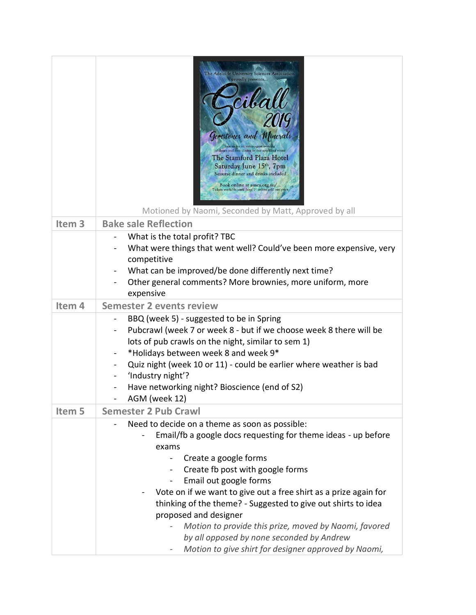|                   | The Adelaide University Sciences Associati<br>proudly presents<br>$\mathcal{M}\ell$<br>Genestones and Minerals<br>Join us for an extravagant evenir<br>of dance and fine dining in our sparkling venue<br>The Stamford Plaza Hotel<br>Saturday June 15 <sup>th</sup> , 7pm<br>3-course dinner and drinks included<br>Book online at ausca.org.au/<br>Tickets available until June 1" unless sold out prior<br>Motioned by Naomi, Seconded by Matt, Approved by all                  |
|-------------------|-------------------------------------------------------------------------------------------------------------------------------------------------------------------------------------------------------------------------------------------------------------------------------------------------------------------------------------------------------------------------------------------------------------------------------------------------------------------------------------|
| Item <sub>3</sub> | <b>Bake sale Reflection</b>                                                                                                                                                                                                                                                                                                                                                                                                                                                         |
|                   | What is the total profit? TBC<br>What were things that went well? Could've been more expensive, very<br>competitive<br>What can be improved/be done differently next time?<br>Other general comments? More brownies, more uniform, more<br>expensive                                                                                                                                                                                                                                |
| Item <sub>4</sub> | <b>Semester 2 events review</b>                                                                                                                                                                                                                                                                                                                                                                                                                                                     |
|                   | BBQ (week 5) - suggested to be in Spring<br>Pubcrawl (week 7 or week 8 - but if we choose week 8 there will be<br>lots of pub crawls on the night, similar to sem 1)<br>*Holidays between week 8 and week 9*<br>Quiz night (week 10 or 11) - could be earlier where weather is bad<br>'Industry night'?<br>Have networking night? Bioscience (end of S2)<br>AGM (week 12)                                                                                                           |
| Item 5            | <b>Semester 2 Pub Crawl</b>                                                                                                                                                                                                                                                                                                                                                                                                                                                         |
|                   | Need to decide on a theme as soon as possible:<br>Email/fb a google docs requesting for theme ideas - up before<br>exams<br>Create a google forms<br>Create fb post with google forms<br>Email out google forms<br>Vote on if we want to give out a free shirt as a prize again for<br>thinking of the theme? - Suggested to give out shirts to idea<br>proposed and designer<br>Motion to provide this prize, moved by Naomi, favored<br>by all opposed by none seconded by Andrew |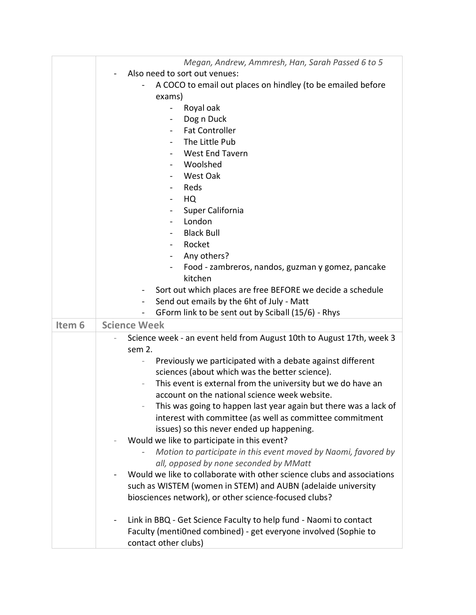|                   | Megan, Andrew, Ammresh, Han, Sarah Passed 6 to 5                                              |
|-------------------|-----------------------------------------------------------------------------------------------|
|                   | Also need to sort out venues:                                                                 |
|                   | A COCO to email out places on hindley (to be emailed before<br>exams)                         |
|                   | Royal oak                                                                                     |
|                   | Dog n Duck<br>$\overline{\phantom{a}}$                                                        |
|                   | <b>Fat Controller</b>                                                                         |
|                   | The Little Pub                                                                                |
|                   | <b>West End Tavern</b>                                                                        |
|                   | Woolshed                                                                                      |
|                   | West Oak<br>$\blacksquare$                                                                    |
|                   | Reds                                                                                          |
|                   | HQ<br>$\blacksquare$                                                                          |
|                   | Super California                                                                              |
|                   | London                                                                                        |
|                   | <b>Black Bull</b>                                                                             |
|                   | Rocket                                                                                        |
|                   | Any others?<br>$\blacksquare$                                                                 |
|                   | Food - zambreros, nandos, guzman y gomez, pancake                                             |
|                   | kitchen                                                                                       |
|                   | Sort out which places are free BEFORE we decide a schedule                                    |
|                   | Send out emails by the 6ht of July - Matt<br>$\blacksquare$                                   |
|                   | GForm link to be sent out by Sciball (15/6) - Rhys                                            |
| Item <sub>6</sub> | <b>Science Week</b>                                                                           |
|                   |                                                                                               |
|                   | Science week - an event held from August 10th to August 17th, week 3<br>sem 2.                |
|                   | Previously we participated with a debate against different                                    |
|                   | sciences (about which was the better science).                                                |
|                   | This event is external from the university but we do have an                                  |
|                   | account on the national science week website.                                                 |
|                   | This was going to happen last year again but there was a lack of                              |
|                   | interest with committee (as well as committee commitment                                      |
|                   | issues) so this never ended up happening.                                                     |
|                   | Would we like to participate in this event?                                                   |
|                   | Motion to participate in this event moved by Naomi, favored by                                |
|                   | all, opposed by none seconded by MMatt                                                        |
|                   | Would we like to collaborate with other science clubs and associations                        |
|                   | such as WISTEM (women in STEM) and AUBN (adelaide university                                  |
|                   | biosciences network), or other science-focused clubs?                                         |
|                   | Link in BBQ - Get Science Faculty to help fund - Naomi to contact<br>$\overline{\phantom{0}}$ |
|                   | Faculty (mentiOned combined) - get everyone involved (Sophie to                               |
|                   | contact other clubs)                                                                          |